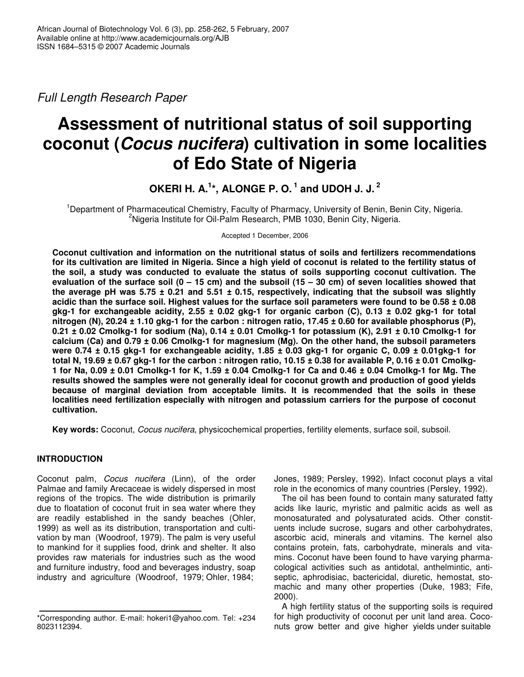*Full Length Research Paper*

# **Assessment of nutritional status of soil supporting coconut (***Cocus nucifera***) cultivation in some localities of Edo State of Nigeria**

**OKERI H. A. 1 \*, ALONGE P. O. 1 and UDOH J. J. 2**

<sup>1</sup>Department of Pharmaceutical Chemistry, Faculty of Pharmacy, University of Benin, Benin City, Nigeria. <sup>2</sup>Nigeria Institute for Oil-Palm Research, PMB 1030, Benin City, Nigeria.

Accepted 1 December, 2006

**Coconut cultivation and information on the nutritional status of soils and fertilizers recommendations** for its cultivation are limited in Nigeria. Since a high yield of coconut is related to the fertility status of **the soil, a study was conducted to evaluate the status of soils supporting coconut cultivation. The** evaluation of the surface soil  $(0 - 15$  cm) and the subsoil  $(15 - 30$  cm) of seven localities showed that the average pH was 5.75  $\pm$  0.21 and 5.51  $\pm$  0.15, respectively, indicating that the subsoil was slightly acidic than the surface soil. Highest values for the surface soil parameters were found to be 0.58 ± 0.08 gkg-1 for exchangeable acidity, 2.55  $\pm$  0.02 gkg-1 for organic carbon (C), 0.13  $\pm$  0.02 gkg-1 for total nitrogen (N), 20.24  $\pm$  1.10 gkg-1 for the carbon : nitrogen ratio, 17.45  $\pm$  0.60 for available phosphorus (P),  $0.21 \pm 0.02$  Cmolkg-1 for sodium (Na),  $0.14 \pm 0.01$  Cmolkg-1 for potassium (K), 2.91  $\pm$  0.10 Cmolkg-1 for **calcium (Ca) and 0.79 ± 0.06 Cmolkg-1 for magnesium (Mg). On the other hand, the subsoil parameters** were 0.74  $\pm$  0.15 gkg-1 for exchangeable acidity, 1.85  $\pm$  0.03 gkg-1 for organic C, 0.09  $\pm$  0.01gkg-1 for total N, 19.69  $\pm$  0.67 gkg-1 for the carbon: nitrogen ratio, 10.15  $\pm$  0.38 for available P, 0.16  $\pm$  0.01 Cmolkg-1 for Na, 0.09  $\pm$  0.01 Cmolkg-1 for K, 1.59  $\pm$  0.04 Cmolkg-1 for Ca and 0.46  $\pm$  0.04 Cmolkg-1 for Mg. The **results showed the samples were not generally ideal for coconut growth and production of good yields because of marginal deviation from acceptable limits. It is recommended that the soils in these localities need fertilization especially with nitrogen and potassium carriers for the purpose of coconut cultivation.**

**Key words:** Coconut, *Cocus nucifera*, physicochemical properties, fertility elements, surface soil, subsoil.

# **INTRODUCTION**

Coconut palm, *Cocus nucifera* (Linn), of the order Palmae and family Arecaceae is widely dispersed in most regions of the tropics. The wide distribution is primarily due to floatation of coconut fruit in sea water where they are readily established in the sandy beaches (Ohler, 1999) as well as its distribution, transportation and cultivation by man (Woodroof, 1979). The palm is very useful to mankind for it supplies food, drink and shelter. It also provides raw materials for industries such as the wood and furniture industry, food and beverages industry, soap industry and agriculture (Woodroof, 1979; Ohler, 1984;

Jones, 1989; Persley, 1992). Infact coconut plays a vital role in the economics of many countries (Persley, 1992).

The oil has been found to contain many saturated fatty acids like lauric, myristic and palmitic acids as well as monosaturated and polysaturated acids. Other constituents include sucrose, sugars and other carbohydrates, ascorbic acid, minerals and vitamins. The kernel also contains protein, fats, carbohydrate, minerals and vitamins. Coconut have been found to have varying pharmacological activities such as antidotal, anthelmintic, antiseptic, aphrodisiac, bactericidal, diuretic, hemostat, stomachic and many other properties (Duke, 1983; Fife, 2000).

A high fertility status of the supporting soils is required for high productivity of coconut per unit land area. Coconuts grow better and give higher yields under suitable

<sup>\*</sup>Corresponding author. E-mail: hokeri1@yahoo.com. Tel: +234 8023112394.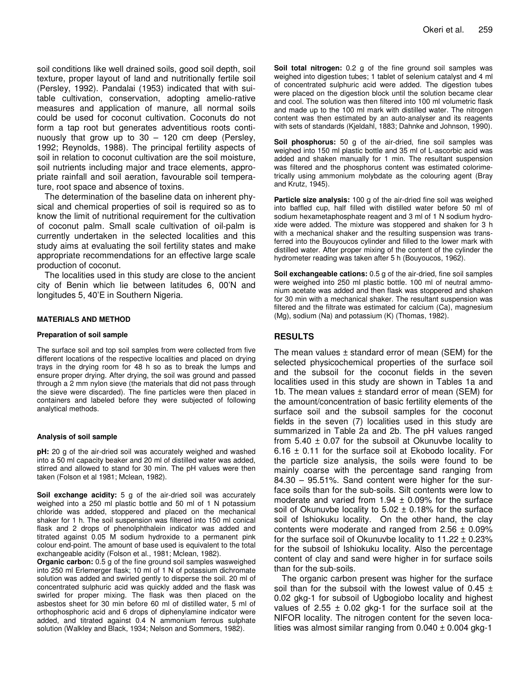soil conditions like well drained soils, good soil depth, soil texture, proper layout of land and nutritionally fertile soil (Persley, 1992). Pandalai (1953) indicated that with suitable cultivation, conservation, adopting amelio-rative measures and application of manure, all normal soils could be used for coconut cultivation. Coconuts do not form a tap root but generates adventitious roots continuously that grow up to 30 – 120 cm deep (Persley, 1992; Reynolds, 1988). The principal fertility aspects of soil in relation to coconut cultivation are the soil moisture, soil nutrients including major and trace elements, appropriate rainfall and soil aeration, favourable soil temperature, root space and absence of toxins.

The determination of the baseline data on inherent physical and chemical properties of soil is required so as to know the limit of nutritional requirement for the cultivation of coconut palm. Small scale cultivation of oil-palm is currently undertaken in the selected localities and this study aims at evaluating the soil fertility states and make appropriate recommendations for an effective large scale production of coconut.

The localities used in this study are close to the ancient city of Benin which lie between latitudes 6, 00'N and longitudes 5, 40'E in Southern Nigeria.

#### **MATERIALS AND METHOD**

#### **Preparation of soil sample**

The surface soil and top soil samples from were collected from five different locations of the respective localities and placed on drying trays in the drying room for 48 h so as to break the lumps and ensure proper drying. After drying, the soil was ground and passed through a 2 mm nylon sieve (the materials that did not pass through the sieve were discarded). The fine particles were then placed in containers and labeled before they were subjected of following analytical methods.

#### **Analysis of soil sample**

**pH:** 20 g of the air-dried soil was accurately weighed and washed into a 50 ml capacity beaker and 20 ml of distilled water was added, stirred and allowed to stand for 30 min. The pH values were then taken (Folson et al 1981; Mclean, 1982).

**Soil exchange acidity:** 5 g of the air-dried soil was accurately weighed into a 250 ml plastic bottle and 50 ml of 1 N potassium chloride was added, stoppered and placed on the mechanical shaker for 1 h. The soil suspension was filtered into 150 ml conical flask and 2 drops of phenolphthalein indicator was added and titrated against 0.05 M sodium hydroxide to a permanent pink colour end-point. The amount of base used is equivalent to the total exchangeable acidity (Folson et al., 1981; Mclean, 1982).

**Organic carbon:** 0.5 g of the fine ground soil samples wasweighed into 250 ml Erlemerger flask; 10 ml of 1 N of potassium dichromate solution was added and swirled gently to disperse the soil. 20 ml of concentrated sulphuric acid was quickly added and the flask was swirled for proper mixing. The flask was then placed on the asbestos sheet for 30 min before 60 ml of distilled water, 5 ml of orthophosphoric acid and 6 drops of diphenylamine indicator were added, and titrated against 0.4 N ammonium ferrous sulphate solution (Walkley and Black, 1934; Nelson and Sommers, 1982).

**Soil total nitrogen:** 0.2 g of the fine ground soil samples was weighed into digestion tubes; 1 tablet of selenium catalyst and 4 ml of concentrated sulphuric acid were added. The digestion tubes were placed on the digestion block until the solution became clear and cool. The solution was then filtered into 100 ml volumetric flask and made up to the 100 ml mark with distilled water. The nitrogen content was then estimated by an auto-analyser and its reagents with sets of standards (Kjeldahl, 1883; Dahnke and Johnson, 1990).

**Soil phosphorus:** 50 g of the air-dried, fine soil samples was weighed into 150 ml plastic bottle and 35 ml of L-ascorbic acid was added and shaken manually for 1 min. The resultant suspension was filtered and the phosphorus content was estimated colorimetrically using ammonium molybdate as the colouring agent (Bray and Krutz, 1945).

**Particle size analysis:** 100 g of the air-dried fine soil was weighed into baffled cup, half filled with distilled water before 50 ml of sodium hexametaphosphate reagent and 3 ml of 1 N sodium hydroxide were added. The mixture was stoppered and shaken for 3 h with a mechanical shaker and the resulting suspension was transferred into the Bouyoucos cylinder and filled to the lower mark with distilled water. After proper mixing of the content of the cylinder the hydrometer reading was taken after 5 h (Bouyoucos, 1962).

**Soil exchangeable cations:** 0.5 g of the air-dried, fine soil samples were weighed into 250 ml plastic bottle. 100 ml of neutral ammonium acetate was added and then flask was stoppered and shaken for 30 min with a mechanical shaker. The resultant suspension was filtered and the filtrate was estimated for calcium (Ca), magnesium (Mg), sodium (Na) and potassium (K) (Thomas, 1982).

### **RESULTS**

The mean values  $\pm$  standard error of mean (SEM) for the selected physicochemical properties of the surface soil and the subsoil for the coconut fields in the seven localities used in this study are shown in Tables 1a and 1b. The mean values  $\pm$  standard error of mean (SEM) for the amount/concentration of basic fertility elements of the surface soil and the subsoil samples for the coconut fields in the seven (7) localities used in this study are summarized in Table 2a and 2b. The pH values ranged from  $5.40 \pm 0.07$  for the subsoil at Okunuvbe locality to  $6.16 \pm 0.11$  for the surface soil at Ekobodo locality. For the particle size analysis, the soils were found to be mainly coarse with the percentage sand ranging from 84.30 – 95.51%. Sand content were higher for the surface soils than for the sub-soils. Silt contents were low to moderate and varied from  $1.94 \pm 0.09\%$  for the surface soil of Okunuvbe locality to  $5.02 \pm 0.18\%$  for the surface soil of Ishiokuku locality. On the other hand, the clay contents were moderate and ranged from  $2.56 \pm 0.09\%$ for the surface soil of Okunuvbe locality to  $11.22 \pm 0.23\%$ for the subsoil of Ishiokuku locality. Also the percentage content of clay and sand were higher in for surface soils than for the sub-soils.

The organic carbon present was higher for the surface soil than for the subsoil with the lowest value of 0.45  $\pm$ 0.02 gkg-1 for subsoil of Ugbogiobo locality and highest values of 2.55  $\pm$  0.02 gkg-1 for the surface soil at the NIFOR locality. The nitrogen content for the seven localities was almost similar ranging from  $0.040 \pm 0.004$  gkg-1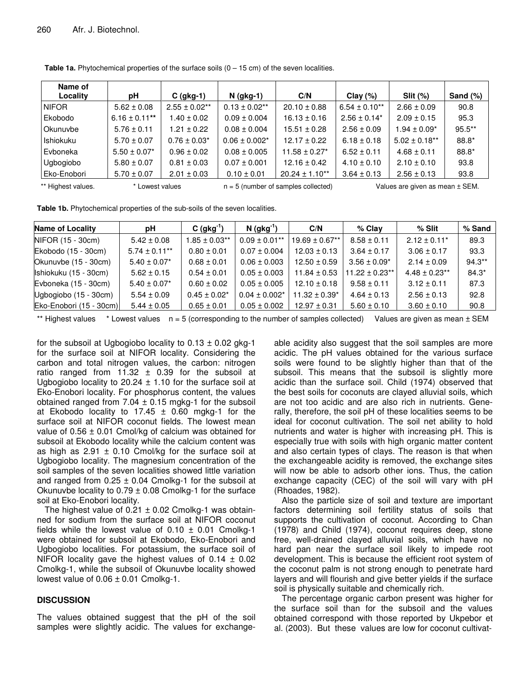| Name of<br>Locality | рH                 | $C$ (gkg-1)        | $N$ (gkg-1)                           | C/N                | Clay $(\%)$                     | $Slit$ $(\%)$      | Sand $(\%)$ |  |
|---------------------|--------------------|--------------------|---------------------------------------|--------------------|---------------------------------|--------------------|-------------|--|
| <b>NIFOR</b>        | $5.62 \pm 0.08$    | $2.55 \pm 0.02$ ** | $0.13 \pm 0.02$ **                    | $20.10 \pm 0.88$   | $6.54 \pm 0.10^{**}$            | $2.66 \pm 0.09$    | 90.8        |  |
| Ekobodo             | $6.16 \pm 0.11***$ | $1.40 \pm 0.02$    | $0.09 \pm 0.004$                      | $16.13 \pm 0.16$   | $2.56 \pm 0.14^*$               | $2.09 \pm 0.15$    | 95.3        |  |
| Okunuvbe            | $5.76 \pm 0.11$    | $1.21 \pm 0.22$    | $0.08 \pm 0.004$                      | $15.51 \pm 0.28$   | $2.56 \pm 0.09$                 | $1.94 \pm 0.09^*$  | $95.5***$   |  |
| Ishiokuku           | $5.70 \pm 0.07$    | $0.76 \pm 0.03^*$  | $0.06 \pm 0.002$ *                    | $12.17 \pm 0.22$   | $6.18 \pm 0.18$                 | $5.02 \pm 0.18$ ** | $88.8*$     |  |
| Evboneka            | $5.50 \pm 0.07$ *  | $0.96 \pm 0.02$    | $0.08 \pm 0.005$                      | $11.58 \pm 0.27$ * | $6.52 \pm 0.11$                 | $4.68 \pm 0.11$    | $88.8*$     |  |
| Ugbogiobo           | $5.80 \pm 0.07$    | $0.81 \pm 0.03$    | $0.07 \pm 0.001$                      | $12.16 \pm 0.42$   | $4.10 \pm 0.10$                 | $2.10 \pm 0.10$    | 93.8        |  |
| Eko-Enobori         | $5.70 \pm 0.07$    | $2.01 \pm 0.03$    | $0.10 \pm 0.01$                       | $20.24 \pm 1.10**$ | $3.64 \pm 0.13$                 | $2.56 \pm 0.13$    | 93.8        |  |
| ** Highest values.  | * Lowest values    |                    | $n = 5$ (number of samples collected) |                    | Values are given as mean ± SEM. |                    |             |  |

**Table 1a.** Phytochemical properties of the surface soils (0 – 15 cm) of the seven localities.

**Table 1b.** Phytochemical properties of the sub-soils of the seven localities.

| Name of Locality        | рH                 | $C$ (gkg <sup>-1</sup> ) | $N$ (gkg <sup>-1</sup> ) | C/N                | $%$ Clay            | % Slit                       | % Sand    |
|-------------------------|--------------------|--------------------------|--------------------------|--------------------|---------------------|------------------------------|-----------|
| NIFOR (15 - 30cm)       | $5.42 \pm 0.08$    | $1.85 \pm 0.03$ **       | $0.09 \pm 0.01**$        | $19.69 \pm 0.67**$ | $8.58 \pm 0.11$     | $2.12 \pm 0.11$ <sup>*</sup> | 89.3      |
| Ekobodo (15 - 30cm)     | $5.74 \pm 0.11***$ | $0.80 \pm 0.01$          | $0.07 \pm 0.004$         | $12.03 \pm 0.13$   | $3.64 \pm 0.17$     | $3.06 \pm 0.17$              | 93.3      |
| Okunuvbe (15 - 30cm)    | $5.40 \pm 0.07$ *  | $0.68 \pm 0.01$          | $0.06 \pm 0.003$         | $12.50 \pm 0.59$   | $3.56 \pm 0.09^*$   | $2.14 \pm 0.09$              | $94.3***$ |
| Ishiokuku (15 - 30cm)   | $5.62 \pm 0.15$    | $0.54 \pm 0.01$          | $0.05 \pm 0.003$         | $11.84 \pm 0.53$   | $11.22 \pm 0.23$ ** | $4.48 \pm 0.23**$            | $84.3*$   |
| Evboneka (15 - 30cm)    | $5.40 \pm 0.07$ *  | $0.60 \pm 0.02$          | $0.05 \pm 0.005$         | $12.10 \pm 0.18$   | $9.58 \pm 0.11$     | $3.12 \pm 0.11$              | 87.3      |
| Ugbogiobo (15 - 30cm)   | $5.54 \pm 0.09$    | $0.45 \pm 0.02^*$        | $0.04 \pm 0.002*$        | $11.32 \pm 0.39^*$ | $4.64 \pm 0.13$     | $2.56 \pm 0.13$              | 92.8      |
| Eko-Enobori (15 - 30cm) | $5.44 \pm 0.05$    | $0.65 \pm 0.01$          | $0.05 \pm 0.002$         | $12.97 \pm 0.31$   | $5.60 \pm 0.10$     | $3.60 \pm 0.10$              | 90.8      |

\*\* Highest values  $*$  Lowest values  $n = 5$  (corresponding to the number of samples collected) Values are given as mean  $\pm$  SEM

for the subsoil at Ugbogiobo locality to  $0.13 \pm 0.02$  gkg-1 for the surface soil at NIFOR locality. Considering the carbon and total nitrogen values, the carbon: nitrogen ratio ranged from 11.32  $\pm$  0.39 for the subsoil at Ugbogiobo locality to 20.24  $\pm$  1.10 for the surface soil at Eko-Enobori locality. For phosphorus content, the values obtained ranged from  $7.04 \pm 0.15$  mgkg-1 for the subsoil at Ekobodo locality to 17.45  $\pm$  0.60 mgkg-1 for the surface soil at NIFOR coconut fields. The lowest mean value of  $0.56 \pm 0.01$  Cmol/kg of calcium was obtained for subsoil at Ekobodo locality while the calcium content was as high as  $2.91 \pm 0.10$  Cmol/kg for the surface soil at Ugbogiobo locality. The magnesium concentration of the soil samples of the seven localities showed little variation and ranged from  $0.25 \pm 0.04$  Cmolkg-1 for the subsoil at Okunuvbe locality to  $0.79 \pm 0.08$  Cmolkg-1 for the surface soil at Eko-Enobori locality.

The highest value of  $0.21 \pm 0.02$  Cmolkg-1 was obtainned for sodium from the surface soil at NIFOR coconut fields while the lowest value of  $0.10 \pm 0.01$  Cmolkg-1 were obtained for subsoil at Ekobodo, Eko-Enobori and Ugbogiobo localities. For potassium, the surface soil of NIFOR locality gave the highest values of  $0.14 \pm 0.02$ Cmolkg-1, while the subsoil of Okunuvbe locality showed lowest value of  $0.06 \pm 0.01$  Cmolkg-1.

## **DISCUSSION**

The values obtained suggest that the pH of the soil samples were slightly acidic. The values for exchange-

able acidity also suggest that the soil samples are more acidic. The pH values obtained for the various surface soils were found to be slightly higher than that of the subsoil. This means that the subsoil is slightly more acidic than the surface soil. Child (1974) observed that the best soils for coconuts are clayed alluvial soils, which are not too acidic and are also rich in nutrients. Generally, therefore, the soil pH of these localities seems to be ideal for coconut cultivation. The soil net ability to hold nutrients and water is higher with increasing pH. This is especially true with soils with high organic matter content and also certain types of clays. The reason is that when the exchangeable acidity is removed, the exchange sites will now be able to adsorb other ions. Thus, the cation exchange capacity (CEC) of the soil will vary with pH (Rhoades, 1982).

Also the particle size of soil and texture are important factors determining soil fertility status of soils that supports the cultivation of coconut. According to Chan (1978) and Child (1974), coconut requires deep, stone free, well-drained clayed alluvial soils, which have no hard pan near the surface soil likely to impede root development. This is because the efficient root system of the coconut palm is not strong enough to penetrate hard layers and will flourish and give better yields if the surface soil is physically suitable and chemically rich.

The percentage organic carbon present was higher for the surface soil than for the subsoil and the values obtained correspond with those reported by Ukpebor et al. (2003). But these values are low for coconut cultivat-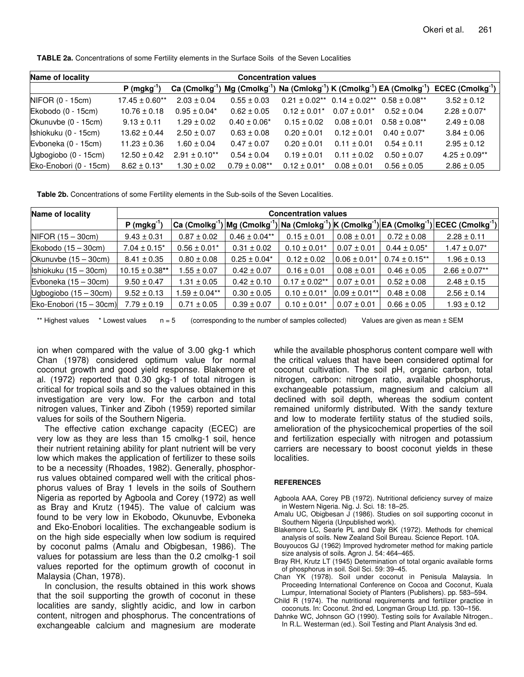**TABLE 2a.** Concentrations of some Fertility elements in the Surface Soils of the Seven Localities

| Name of locality       | <b>Concentration values</b> |                      |                   |                  |                    |                                                                                                                                       |                          |  |  |
|------------------------|-----------------------------|----------------------|-------------------|------------------|--------------------|---------------------------------------------------------------------------------------------------------------------------------------|--------------------------|--|--|
|                        | P (maka <sup>-1</sup>       |                      |                   |                  |                    | Ca (Cmolkg <sup>-1</sup> ) Mg (Cmolkg <sup>-1</sup> ) Na (Cmlokg <sup>-1</sup> ) K (Cmolkg <sup>-1</sup> ) EA (Cmolkg <sup>-1</sup> ) | $ECEC$ (Cmolkg $^{-1}$ ) |  |  |
| NIFOR (0 - 15cm)       | $17.45 \pm 0.60**$          | $2.03 \pm 0.04$      | $0.55 \pm 0.03$   | $0.21 + 0.02**$  | $0.14 \pm 0.02$ ** | $0.58 \pm 0.08***$                                                                                                                    | $3.52 \pm 0.12$          |  |  |
| Ekobodo (0 - 15cm)     | $10.76 \pm 0.18$            | $0.95 \pm 0.04*$     | $0.62 \pm 0.05$   | $0.12 + 0.01*$   | $0.07 \pm 0.01*$   | $0.52 + 0.04$                                                                                                                         | $2.28 \pm 0.07$ *        |  |  |
| Okunuvbe (0 - 15cm)    | $9.13 \pm 0.11$             | $1.29 \pm 0.02$      | $0.40 \pm 0.06*$  | $0.15 \pm 0.02$  | $0.08 \pm 0.01$    | $0.58 \pm 0.08$ **                                                                                                                    | $2.49 \pm 0.08$          |  |  |
| Ishiokuku (0 - 15cm)   | $13.62 \pm 0.44$            | $2.50 \pm 0.07$      | $0.63 \pm 0.08$   | $0.20 \pm 0.01$  | $0.12 \pm 0.01$    | $0.40 \pm 0.07$ <sup>*</sup>                                                                                                          | $3.84 \pm 0.06$          |  |  |
| Evboneka (0 - 15cm)    | $11.23 \pm 0.36$            | $1.60 \pm 0.04$      | $0.47 \pm 0.07$   | $0.20 \pm 0.01$  | $0.11 \pm 0.01$    | $0.54 \pm 0.11$                                                                                                                       | $2.95 \pm 0.12$          |  |  |
| Ugbogiobo (0 - 15cm)   | $12.50 \pm 0.42$            | $2.91 \pm 0.10^{**}$ | $0.54 \pm 0.04$   | $0.19 \pm 0.01$  | $0.11 \pm 0.02$    | $0.50 \pm 0.07$                                                                                                                       | $4.25 \pm 0.09**$        |  |  |
| Eko-Enobori (0 - 15cm) | $8.62 \pm 0.13^*$           | $1.30 \pm 0.02$      | $0.79 \pm 0.08**$ | $0.12 \pm 0.01*$ | $0.08 \pm 0.01$    | $0.56 \pm 0.05$                                                                                                                       | $2.86 \pm 0.05$          |  |  |

**Table 2b.** Concentrations of some Fertility elements in the Sub-soils of the Seven Localities.

| Name of locality          | <b>Concentration values</b> |                   |                   |                    |                   |                    |                                                                                                                                                                                                                                                                        |  |
|---------------------------|-----------------------------|-------------------|-------------------|--------------------|-------------------|--------------------|------------------------------------------------------------------------------------------------------------------------------------------------------------------------------------------------------------------------------------------------------------------------|--|
|                           | P (mgkg <sup>-1)</sup>      |                   |                   |                    |                   |                    | $ \mathsf{Ca}\,(\mathsf{Cmolkg}^{\text{-1}}) \mathsf{Mg}\,(\mathsf{Cmolkg}^{\text{-1}}) \mathsf{Na}\,(\mathsf{Cmolkg}^{\text{-1}}) \mathsf{K}\,(\mathsf{Cmolkg}^{\text{-1}}) \mathsf{EA}\,(\mathsf{Cmolkg}^{\text{-1}}) \mathsf{ECEC}\,(\mathsf{Cmolkg}^{\text{-1}}) $ |  |
| $NIFOR (15 - 30cm)$       | $9.43 \pm 0.31$             | $0.87 \pm 0.02$   | $0.46 \pm 0.04**$ | $0.15 \pm 0.01$    | $0.08 \pm 0.01$   | $0.72 \pm 0.08$    | $2.28 \pm 0.11$                                                                                                                                                                                                                                                        |  |
| Ekobodo $(15 - 30cm)$     | $7.04 \pm 0.15^*$           | $0.56 \pm 0.01*$  | $0.31 \pm 0.02$   | $0.10 \pm 0.01*$   | $0.07 \pm 0.01$   | $0.44 \pm 0.05^*$  | $1.47 \pm 0.07^*$                                                                                                                                                                                                                                                      |  |
| Okunuvbe $(15 - 30cm)$    | $8.41 \pm 0.35$             | $0.80 \pm 0.08$   | $0.25 \pm 0.04*$  | $0.12 \pm 0.02$    | $0.06 \pm 0.01*$  | $0.74 \pm 0.15$ ** | $1.96 \pm 0.13$                                                                                                                                                                                                                                                        |  |
| Ishiokuku $(15 - 30cm)$   | $10.15 \pm 0.38$ **         | $1.55 \pm 0.07$   | $0.42 \pm 0.07$   | $0.16 \pm 0.01$    | $0.08 \pm 0.01$   | $0.46 \pm 0.05$    | $2.66 \pm 0.07**$                                                                                                                                                                                                                                                      |  |
| Evboneka $(15 - 30cm)$    | $9.50 \pm 0.47$             | $1.31 \pm 0.05$   | $0.42 \pm 0.10$   | $0.17 \pm 0.02$ ** | $0.07 \pm 0.01$   | $0.52 \pm 0.08$    | $2.48 \pm 0.15$                                                                                                                                                                                                                                                        |  |
| Ugbogiobo $(15 - 30cm)$   | $9.52 \pm 0.13$             | $1.59 \pm 0.04**$ | $0.30 \pm 0.05$   | $0.10 \pm 0.01*$   | $0.09 \pm 0.01**$ | $0.48 \pm 0.08$    | $2.56 \pm 0.14$                                                                                                                                                                                                                                                        |  |
| $Eko-Enobori (15 - 30cm)$ | $7.79 \pm 0.19$             | $0.71 \pm 0.05$   | $0.39 \pm 0.07$   | $0.10 \pm 0.01*$   | $0.07 \pm 0.01$   | $0.66 \pm 0.05$    | $1.93 \pm 0.12$                                                                                                                                                                                                                                                        |  |

\*\* Highest values \* Lowest values  $n = 5$  (corresponding to the number of samples collected) Values are given as mean  $\pm$  SEM

ion when compared with the value of 3.00 gkg-1 which Chan (1978) considered optimum value for normal coconut growth and good yield response. Blakemore et al. (1972) reported that 0.30 gkg-1 of total nitrogen is critical for tropical soils and so the values obtained in this investigation are very low. For the carbon and total nitrogen values, Tinker and Ziboh (1959) reported similar values for soils of the Southern Nigeria.

The effective cation exchange capacity (ECEC) are very low as they are less than 15 cmolkg-1 soil, hence their nutrient retaining ability for plant nutrient will be very low which makes the application of fertilizer to these soils to be a necessity (Rhoades, 1982). Generally, phosphorrus values obtained compared well with the critical phosphorus values of Bray 1 levels in the soils of Southern Nigeria as reported by Agboola and Corey (1972) as well as Bray and Krutz (1945). The value of calcium was found to be very low in Ekobodo, Okunuvbe, Evboneka and Eko-Enobori localities. The exchangeable sodium is on the high side especially when low sodium is required by coconut palms (Amalu and Obigbesan, 1986). The values for potassium are less than the 0.2 cmolkg-1 soil values reported for the optimum growth of coconut in Malaysia (Chan, 1978).

In conclusion, the results obtained in this work shows that the soil supporting the growth of coconut in these localities are sandy, slightly acidic, and low in carbon content, nitrogen and phosphorus. The concentrations of exchangeable calcium and magnesium are moderate while the available phosphorus content compare well with the critical values that have been considered optimal for coconut cultivation. The soil pH, organic carbon, total nitrogen, carbon: nitrogen ratio, available phosphorus, exchangeable potassium, magnesium and calcium all declined with soil depth, whereas the sodium content remained uniformly distributed. With the sandy texture and low to moderate fertility status of the studied soils, amelioration of the physicochemical properties of the soil and fertilization especially with nitrogen and potassium carriers are necessary to boost coconut yields in these localities.

## **REFERENCES**

- Agboola AAA, Corey PB (1972). Nutritional deficiency survey of maize in Western Nigeria. Nig. J. Sci. 18: 18–25.
- Amalu UC, Obigbesan J (1986). Studies on soil supporting coconut in Southern Nigeria (Unpublished work).
- Blakemore LC, Searle PL and Daly BK (1972). Methods for chemical analysis of soils. New Zealand Soil Bureau. Science Report. 10A.
- Bouyoucos GJ (1962) Improved hydrometer method for making particle size analysis of soils. Agron J. 54: 464–465.
- Bray RH, Krutz LT (1945) Determination of total organic available forms of phosphorus in soil. Soil Sci. 59: 39–45.
- Chan YK (1978). Soil under coconut in Penisula Malaysia. In Proceeding International Conference on Cocoa and Coconut, Kuala Lumpur, International Society of Planters (Publishers). pp. 583–594.
- Child R (1974). The nutritional requirements and fertilizer practice in coconuts. In: Coconut. 2nd ed, Longman Group Ltd. pp. 130–156.
- Dahnke WC, Johnson GO (1990). Testing soils for Available Nitrogen.. In R.L. Westerman (ed.). Soil Testing and Plant Analysis 3nd ed.